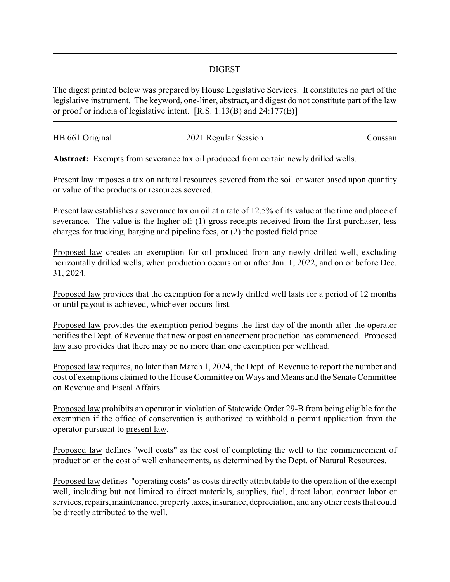## DIGEST

The digest printed below was prepared by House Legislative Services. It constitutes no part of the legislative instrument. The keyword, one-liner, abstract, and digest do not constitute part of the law or proof or indicia of legislative intent. [R.S. 1:13(B) and 24:177(E)]

| HB 661 Original | 2021 Regular Session | Coussan |
|-----------------|----------------------|---------|
|                 |                      |         |

**Abstract:** Exempts from severance tax oil produced from certain newly drilled wells.

Present law imposes a tax on natural resources severed from the soil or water based upon quantity or value of the products or resources severed.

Present law establishes a severance tax on oil at a rate of 12.5% of its value at the time and place of severance. The value is the higher of: (1) gross receipts received from the first purchaser, less charges for trucking, barging and pipeline fees, or (2) the posted field price.

Proposed law creates an exemption for oil produced from any newly drilled well, excluding horizontally drilled wells, when production occurs on or after Jan. 1, 2022, and on or before Dec. 31, 2024.

Proposed law provides that the exemption for a newly drilled well lasts for a period of 12 months or until payout is achieved, whichever occurs first.

Proposed law provides the exemption period begins the first day of the month after the operator notifies the Dept. of Revenue that new or post enhancement production has commenced. Proposed law also provides that there may be no more than one exemption per wellhead.

Proposed law requires, no later than March 1, 2024, the Dept. of Revenue to report the number and cost of exemptions claimed to the House Committee on Ways and Means and the Senate Committee on Revenue and Fiscal Affairs.

Proposed law prohibits an operator in violation of Statewide Order 29-B from being eligible for the exemption if the office of conservation is authorized to withhold a permit application from the operator pursuant to present law.

Proposed law defines "well costs" as the cost of completing the well to the commencement of production or the cost of well enhancements, as determined by the Dept. of Natural Resources.

Proposed law defines "operating costs" as costs directly attributable to the operation of the exempt well, including but not limited to direct materials, supplies, fuel, direct labor, contract labor or services, repairs, maintenance, property taxes, insurance, depreciation, and any other costs that could be directly attributed to the well.